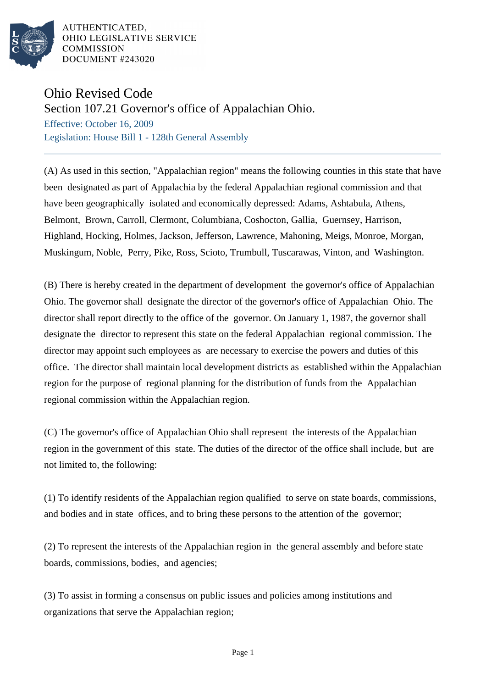

AUTHENTICATED. OHIO LEGISLATIVE SERVICE **COMMISSION** DOCUMENT #243020

## Ohio Revised Code

Section 107.21 Governor's office of Appalachian Ohio.

Effective: October 16, 2009 Legislation: House Bill 1 - 128th General Assembly

(A) As used in this section, "Appalachian region" means the following counties in this state that have been designated as part of Appalachia by the federal Appalachian regional commission and that have been geographically isolated and economically depressed: Adams, Ashtabula, Athens, Belmont, Brown, Carroll, Clermont, Columbiana, Coshocton, Gallia, Guernsey, Harrison, Highland, Hocking, Holmes, Jackson, Jefferson, Lawrence, Mahoning, Meigs, Monroe, Morgan, Muskingum, Noble, Perry, Pike, Ross, Scioto, Trumbull, Tuscarawas, Vinton, and Washington.

(B) There is hereby created in the department of development the governor's office of Appalachian Ohio. The governor shall designate the director of the governor's office of Appalachian Ohio. The director shall report directly to the office of the governor. On January 1, 1987, the governor shall designate the director to represent this state on the federal Appalachian regional commission. The director may appoint such employees as are necessary to exercise the powers and duties of this office. The director shall maintain local development districts as established within the Appalachian region for the purpose of regional planning for the distribution of funds from the Appalachian regional commission within the Appalachian region.

(C) The governor's office of Appalachian Ohio shall represent the interests of the Appalachian region in the government of this state. The duties of the director of the office shall include, but are not limited to, the following:

(1) To identify residents of the Appalachian region qualified to serve on state boards, commissions, and bodies and in state offices, and to bring these persons to the attention of the governor;

(2) To represent the interests of the Appalachian region in the general assembly and before state boards, commissions, bodies, and agencies;

(3) To assist in forming a consensus on public issues and policies among institutions and organizations that serve the Appalachian region;